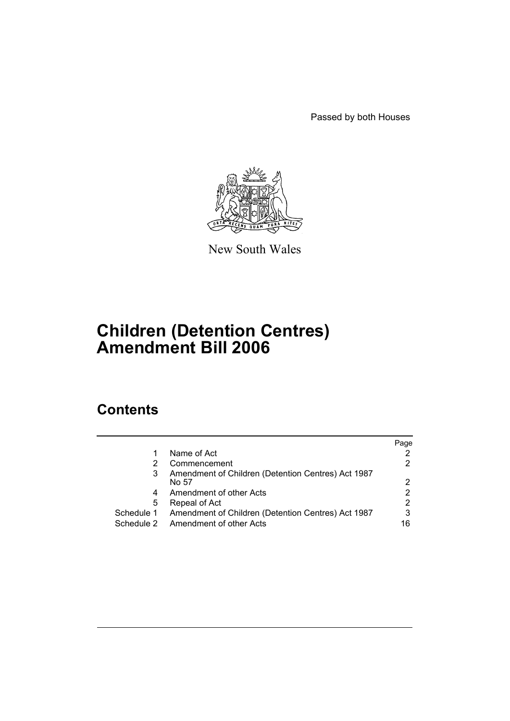Passed by both Houses



New South Wales

# **Children (Detention Centres) Amendment Bill 2006**

# **Contents**

|            |                                                    | Page |
|------------|----------------------------------------------------|------|
| 1          | Name of Act                                        |      |
| 2          | Commencement                                       |      |
| 3          | Amendment of Children (Detention Centres) Act 1987 |      |
|            | No 57                                              | 2    |
| 4          | Amendment of other Acts                            |      |
| 5          | Repeal of Act                                      | 2    |
| Schedule 1 | Amendment of Children (Detention Centres) Act 1987 | 3    |
|            | Schedule 2 Amendment of other Acts                 | 16   |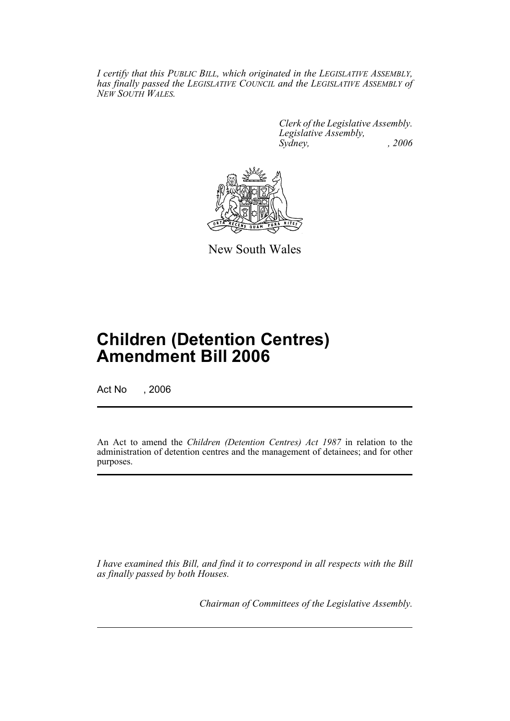*I certify that this PUBLIC BILL, which originated in the LEGISLATIVE ASSEMBLY, has finally passed the LEGISLATIVE COUNCIL and the LEGISLATIVE ASSEMBLY of NEW SOUTH WALES.*

> *Clerk of the Legislative Assembly. Legislative Assembly, Sydney, , 2006*



New South Wales

# **Children (Detention Centres) Amendment Bill 2006**

Act No , 2006

An Act to amend the *Children (Detention Centres) Act 1987* in relation to the administration of detention centres and the management of detainees; and for other purposes.

*I have examined this Bill, and find it to correspond in all respects with the Bill as finally passed by both Houses.*

*Chairman of Committees of the Legislative Assembly.*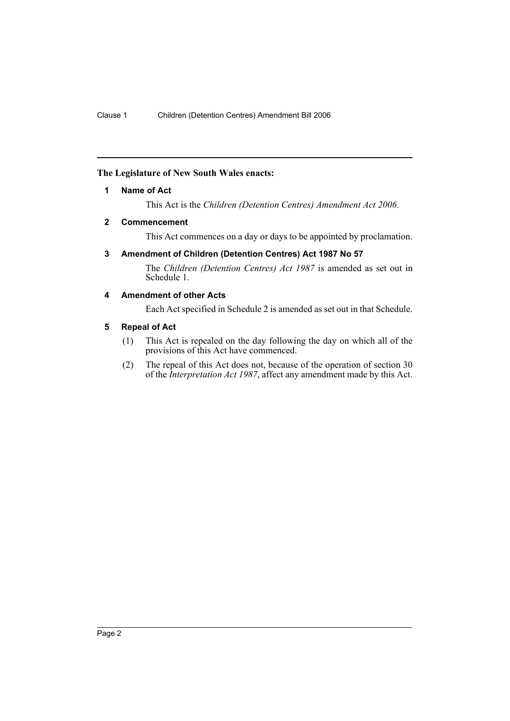# **The Legislature of New South Wales enacts:**

## **1 Name of Act**

This Act is the *Children (Detention Centres) Amendment Act 2006*.

## **2 Commencement**

This Act commences on a day or days to be appointed by proclamation.

# **3 Amendment of Children (Detention Centres) Act 1987 No 57**

The *Children (Detention Centres) Act 1987* is amended as set out in Schedule 1.

# **4 Amendment of other Acts**

Each Act specified in Schedule 2 is amended as set out in that Schedule.

## **5 Repeal of Act**

- (1) This Act is repealed on the day following the day on which all of the provisions of this Act have commenced.
- (2) The repeal of this Act does not, because of the operation of section 30 of the *Interpretation Act 1987*, affect any amendment made by this Act.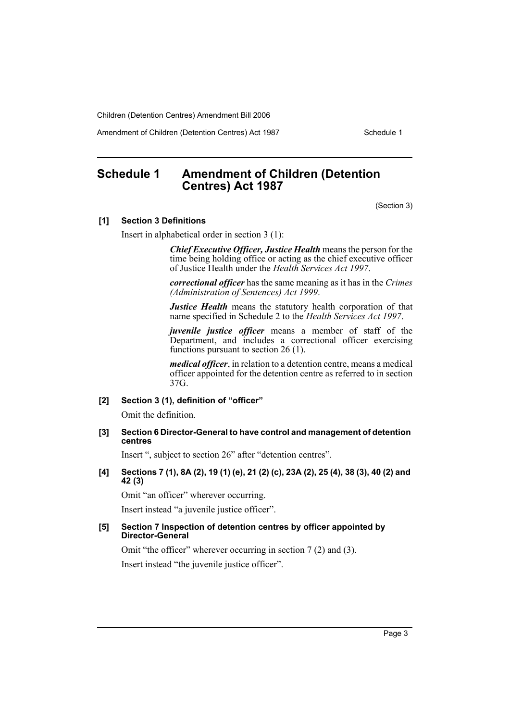Amendment of Children (Detention Centres) Act 1987 Schedule 1

# **Schedule 1 Amendment of Children (Detention Centres) Act 1987**

(Section 3)

#### **[1] Section 3 Definitions**

Insert in alphabetical order in section 3 (1):

*Chief Executive Officer, Justice Health* means the person for the time being holding office or acting as the chief executive officer of Justice Health under the *Health Services Act 1997*.

*correctional officer* has the same meaning as it has in the *Crimes (Administration of Sentences) Act 1999*.

*Justice Health* means the statutory health corporation of that name specified in Schedule 2 to the *Health Services Act 1997*.

*juvenile justice officer* means a member of staff of the Department, and includes a correctional officer exercising functions pursuant to section 26 (1).

*medical officer*, in relation to a detention centre, means a medical officer appointed for the detention centre as referred to in section 37G.

### **[2] Section 3 (1), definition of "officer"**

Omit the definition.

#### **[3] Section 6 Director-General to have control and management of detention centres**

Insert ", subject to section 26" after "detention centres".

## **[4] Sections 7 (1), 8A (2), 19 (1) (e), 21 (2) (c), 23A (2), 25 (4), 38 (3), 40 (2) and 42 (3)**

Omit "an officer" wherever occurring.

Insert instead "a juvenile justice officer".

#### **[5] Section 7 Inspection of detention centres by officer appointed by Director-General**

Omit "the officer" wherever occurring in section 7 (2) and (3).

Insert instead "the juvenile justice officer".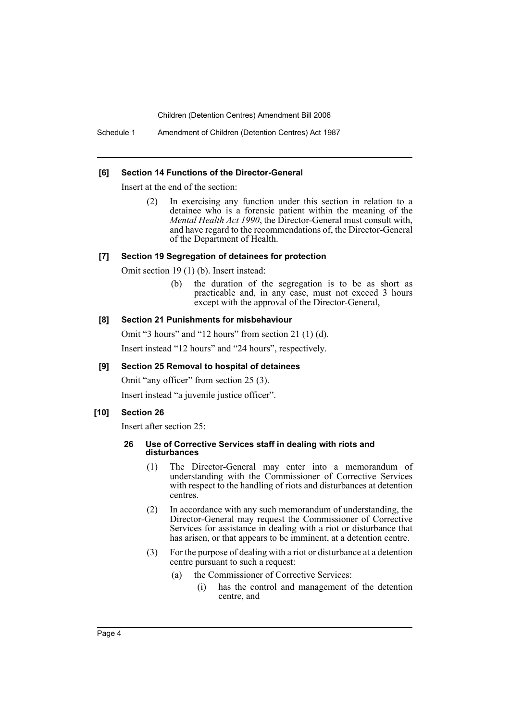Schedule 1 Amendment of Children (Detention Centres) Act 1987

#### **[6] Section 14 Functions of the Director-General**

Insert at the end of the section:

(2) In exercising any function under this section in relation to a detainee who is a forensic patient within the meaning of the *Mental Health Act 1990*, the Director-General must consult with, and have regard to the recommendations of, the Director-General of the Department of Health.

#### **[7] Section 19 Segregation of detainees for protection**

Omit section 19 (1) (b). Insert instead:

(b) the duration of the segregation is to be as short as practicable and, in any case, must not exceed 3 hours except with the approval of the Director-General,

#### **[8] Section 21 Punishments for misbehaviour**

Omit "3 hours" and "12 hours" from section 21 (1) (d).

Insert instead "12 hours" and "24 hours", respectively.

#### **[9] Section 25 Removal to hospital of detainees**

Omit "any officer" from section 25 (3).

Insert instead "a juvenile justice officer".

#### **[10] Section 26**

Insert after section 25:

#### **26 Use of Corrective Services staff in dealing with riots and disturbances**

- (1) The Director-General may enter into a memorandum of understanding with the Commissioner of Corrective Services with respect to the handling of riots and disturbances at detention centres.
- (2) In accordance with any such memorandum of understanding, the Director-General may request the Commissioner of Corrective Services for assistance in dealing with a riot or disturbance that has arisen, or that appears to be imminent, at a detention centre.
- (3) For the purpose of dealing with a riot or disturbance at a detention centre pursuant to such a request:
	- (a) the Commissioner of Corrective Services:
		- (i) has the control and management of the detention centre, and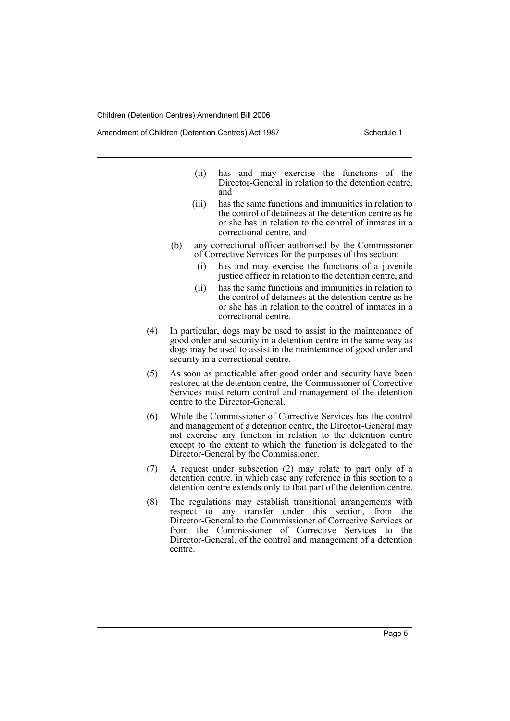Amendment of Children (Detention Centres) Act 1987 Schedule 1

- (ii) has and may exercise the functions of the Director-General in relation to the detention centre, and
- (iii) has the same functions and immunities in relation to the control of detainees at the detention centre as he or she has in relation to the control of inmates in a correctional centre, and
- (b) any correctional officer authorised by the Commissioner of Corrective Services for the purposes of this section:
	- (i) has and may exercise the functions of a juvenile justice officer in relation to the detention centre, and
	- (ii) has the same functions and immunities in relation to the control of detainees at the detention centre as he or she has in relation to the control of inmates in a correctional centre.
- (4) In particular, dogs may be used to assist in the maintenance of good order and security in a detention centre in the same way as dogs may be used to assist in the maintenance of good order and security in a correctional centre.
- (5) As soon as practicable after good order and security have been restored at the detention centre, the Commissioner of Corrective Services must return control and management of the detention centre to the Director-General.
- (6) While the Commissioner of Corrective Services has the control and management of a detention centre, the Director-General may not exercise any function in relation to the detention centre except to the extent to which the function is delegated to the Director-General by the Commissioner.
- (7) A request under subsection (2) may relate to part only of a detention centre, in which case any reference in this section to a detention centre extends only to that part of the detention centre.
- (8) The regulations may establish transitional arrangements with respect to any transfer under this section, from the Director-General to the Commissioner of Corrective Services or from the Commissioner of Corrective Services to the Director-General, of the control and management of a detention centre.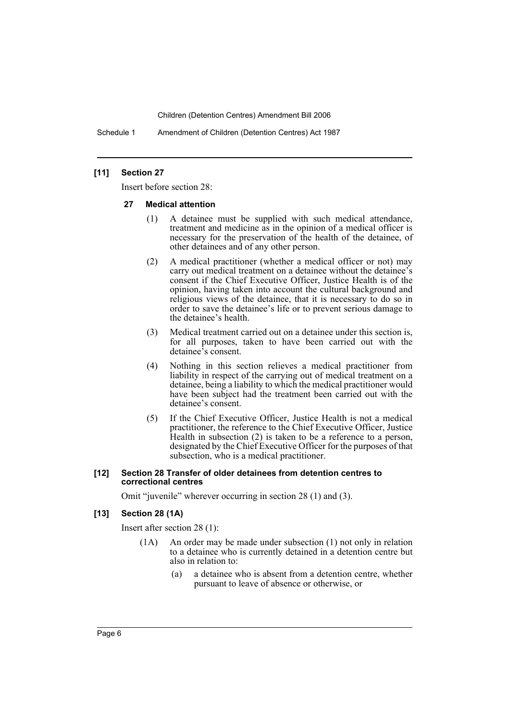Schedule 1 Amendment of Children (Detention Centres) Act 1987

#### **[11] Section 27**

Insert before section 28:

#### **27 Medical attention**

- (1) A detainee must be supplied with such medical attendance, treatment and medicine as in the opinion of a medical officer is necessary for the preservation of the health of the detainee, of other detainees and of any other person.
- (2) A medical practitioner (whether a medical officer or not) may carry out medical treatment on a detainee without the detainee's consent if the Chief Executive Officer, Justice Health is of the opinion, having taken into account the cultural background and religious views of the detainee, that it is necessary to do so in order to save the detainee's life or to prevent serious damage to the detainee's health.
- (3) Medical treatment carried out on a detainee under this section is, for all purposes, taken to have been carried out with the detainee's consent.
- (4) Nothing in this section relieves a medical practitioner from liability in respect of the carrying out of medical treatment on a detainee, being a liability to which the medical practitioner would have been subject had the treatment been carried out with the detainee's consent.
- (5) If the Chief Executive Officer, Justice Health is not a medical practitioner, the reference to the Chief Executive Officer, Justice Health in subsection (2) is taken to be a reference to a person, designated by the Chief Executive Officer for the purposes of that subsection, who is a medical practitioner.

#### **[12] Section 28 Transfer of older detainees from detention centres to correctional centres**

Omit "juvenile" wherever occurring in section 28 (1) and (3).

# **[13] Section 28 (1A)**

Insert after section 28 (1):

- (1A) An order may be made under subsection (1) not only in relation to a detainee who is currently detained in a detention centre but also in relation to:
	- (a) a detainee who is absent from a detention centre, whether pursuant to leave of absence or otherwise, or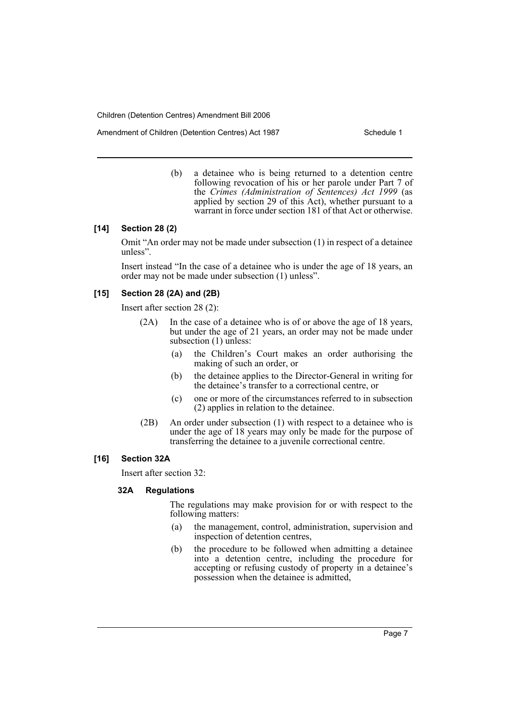Amendment of Children (Detention Centres) Act 1987 Schedule 1

(b) a detainee who is being returned to a detention centre following revocation of his or her parole under Part 7 of the *Crimes (Administration of Sentences) Act 1999* (as applied by section 29 of this Act), whether pursuant to a warrant in force under section 181 of that Act or otherwise.

## **[14] Section 28 (2)**

Omit "An order may not be made under subsection (1) in respect of a detainee unless".

Insert instead "In the case of a detainee who is under the age of 18 years, an order may not be made under subsection (1) unless".

## **[15] Section 28 (2A) and (2B)**

Insert after section 28 (2):

- (2A) In the case of a detainee who is of or above the age of 18 years, but under the age of 21 years, an order may not be made under subsection (1) unless:
	- (a) the Children's Court makes an order authorising the making of such an order, or
	- (b) the detainee applies to the Director-General in writing for the detainee's transfer to a correctional centre, or
	- (c) one or more of the circumstances referred to in subsection (2) applies in relation to the detainee.
- (2B) An order under subsection (1) with respect to a detainee who is under the age of 18 years may only be made for the purpose of transferring the detainee to a juvenile correctional centre.

#### **[16] Section 32A**

Insert after section 32:

#### **32A Regulations**

The regulations may make provision for or with respect to the following matters:

- (a) the management, control, administration, supervision and inspection of detention centres,
- (b) the procedure to be followed when admitting a detainee into a detention centre, including the procedure for accepting or refusing custody of property in a detainee's possession when the detainee is admitted,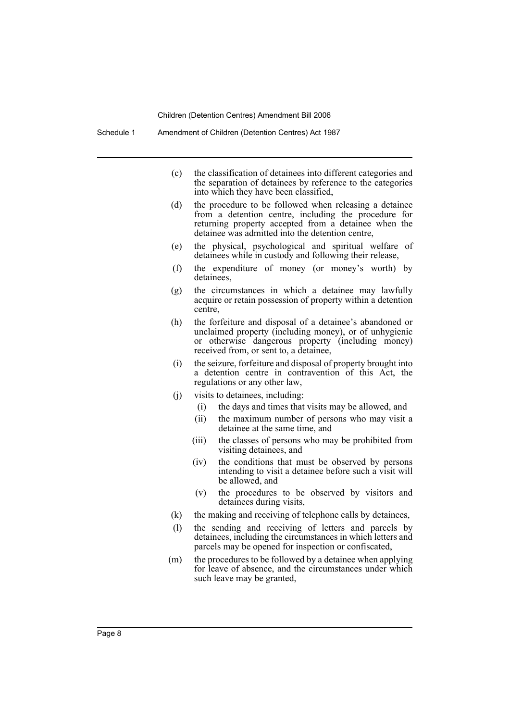- (c) the classification of detainees into different categories and the separation of detainees by reference to the categories into which they have been classified,
- (d) the procedure to be followed when releasing a detainee from a detention centre, including the procedure for returning property accepted from a detainee when the detainee was admitted into the detention centre,
- (e) the physical, psychological and spiritual welfare of detainees while in custody and following their release,
- (f) the expenditure of money (or money's worth) by detainees,
- (g) the circumstances in which a detainee may lawfully acquire or retain possession of property within a detention centre,
- (h) the forfeiture and disposal of a detainee's abandoned or unclaimed property (including money), or of unhygienic or otherwise dangerous property (including money) received from, or sent to, a detainee,
- (i) the seizure, forfeiture and disposal of property brought into a detention centre in contravention of this Act, the regulations or any other law,
- (j) visits to detainees, including:
	- (i) the days and times that visits may be allowed, and
	- (ii) the maximum number of persons who may visit a detainee at the same time, and
	- (iii) the classes of persons who may be prohibited from visiting detainees, and
	- (iv) the conditions that must be observed by persons intending to visit a detainee before such a visit will be allowed, and
	- (v) the procedures to be observed by visitors and detainees during visits,
- (k) the making and receiving of telephone calls by detainees,
- (l) the sending and receiving of letters and parcels by detainees, including the circumstances in which letters and parcels may be opened for inspection or confiscated,
- (m) the procedures to be followed by a detainee when applying for leave of absence, and the circumstances under which such leave may be granted,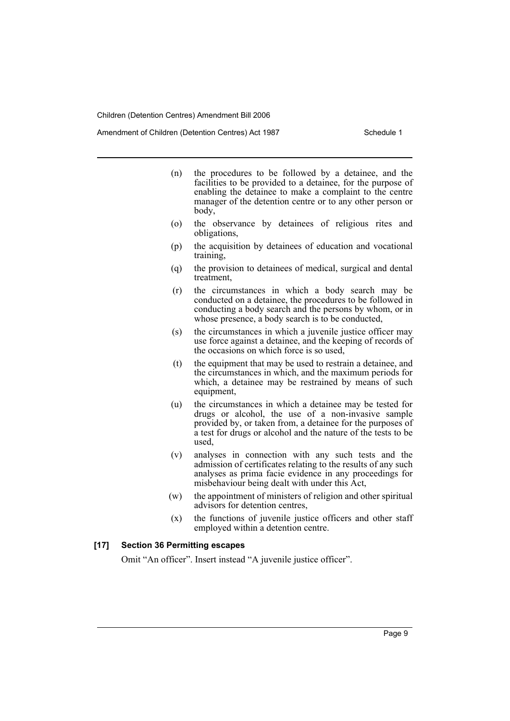Amendment of Children (Detention Centres) Act 1987 Schedule 1

- (n) the procedures to be followed by a detainee, and the facilities to be provided to a detainee, for the purpose of enabling the detainee to make a complaint to the centre manager of the detention centre or to any other person or body,
- (o) the observance by detainees of religious rites and obligations,
- (p) the acquisition by detainees of education and vocational training,
- (q) the provision to detainees of medical, surgical and dental treatment,
- (r) the circumstances in which a body search may be conducted on a detainee, the procedures to be followed in conducting a body search and the persons by whom, or in whose presence, a body search is to be conducted,
- (s) the circumstances in which a juvenile justice officer may use force against a detainee, and the keeping of records of the occasions on which force is so used,
- (t) the equipment that may be used to restrain a detainee, and the circumstances in which, and the maximum periods for which, a detainee may be restrained by means of such equipment,
- (u) the circumstances in which a detainee may be tested for drugs or alcohol, the use of a non-invasive sample provided by, or taken from, a detainee for the purposes of a test for drugs or alcohol and the nature of the tests to be used,
- (v) analyses in connection with any such tests and the admission of certificates relating to the results of any such analyses as prima facie evidence in any proceedings for misbehaviour being dealt with under this Act,
- (w) the appointment of ministers of religion and other spiritual advisors for detention centres,
- (x) the functions of juvenile justice officers and other staff employed within a detention centre.

## **[17] Section 36 Permitting escapes**

Omit "An officer". Insert instead "A juvenile justice officer".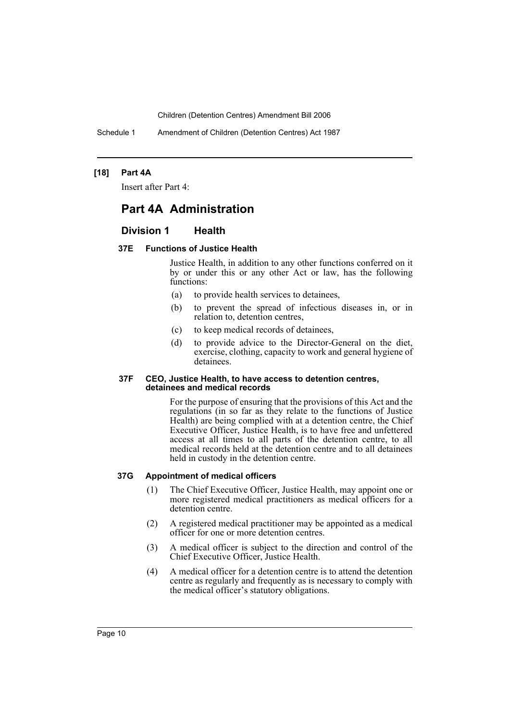Schedule 1 Amendment of Children (Detention Centres) Act 1987

## **[18] Part 4A**

Insert after Part 4:

# **Part 4A Administration**

# **Division 1 Health**

## **37E Functions of Justice Health**

Justice Health, in addition to any other functions conferred on it by or under this or any other Act or law, has the following functions:

- (a) to provide health services to detainees,
- (b) to prevent the spread of infectious diseases in, or in relation to, detention centres,
- (c) to keep medical records of detainees,
- (d) to provide advice to the Director-General on the diet, exercise, clothing, capacity to work and general hygiene of detainees.

#### **37F CEO, Justice Health, to have access to detention centres, detainees and medical records**

For the purpose of ensuring that the provisions of this Act and the regulations (in so far as they relate to the functions of Justice Health) are being complied with at a detention centre, the Chief Executive Officer, Justice Health, is to have free and unfettered access at all times to all parts of the detention centre, to all medical records held at the detention centre and to all detainees held in custody in the detention centre.

# **37G Appointment of medical officers**

- (1) The Chief Executive Officer, Justice Health, may appoint one or more registered medical practitioners as medical officers for a detention centre.
- (2) A registered medical practitioner may be appointed as a medical officer for one or more detention centres.
- (3) A medical officer is subject to the direction and control of the Chief Executive Officer, Justice Health.
- (4) A medical officer for a detention centre is to attend the detention centre as regularly and frequently as is necessary to comply with the medical officer's statutory obligations.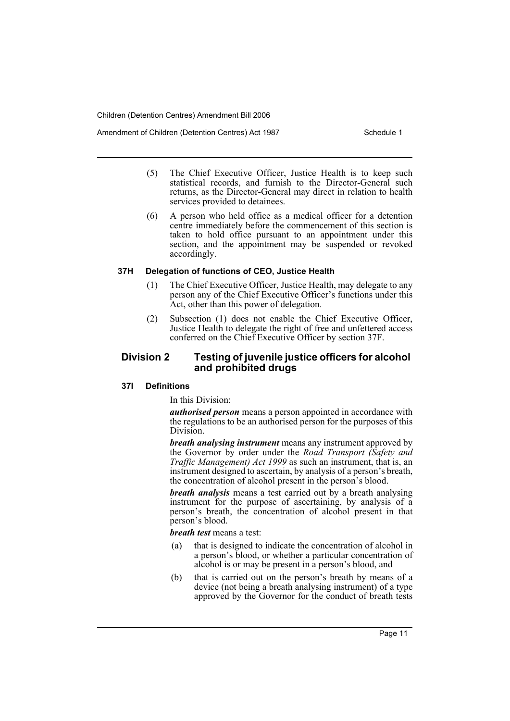Amendment of Children (Detention Centres) Act 1987 Schedule 1

- (5) The Chief Executive Officer, Justice Health is to keep such statistical records, and furnish to the Director-General such returns, as the Director-General may direct in relation to health services provided to detainees.
- (6) A person who held office as a medical officer for a detention centre immediately before the commencement of this section is taken to hold office pursuant to an appointment under this section, and the appointment may be suspended or revoked accordingly.

#### **37H Delegation of functions of CEO, Justice Health**

- (1) The Chief Executive Officer, Justice Health, may delegate to any person any of the Chief Executive Officer's functions under this Act, other than this power of delegation.
- (2) Subsection (1) does not enable the Chief Executive Officer, Justice Health to delegate the right of free and unfettered access conferred on the Chief Executive Officer by section 37F.

# **Division 2 Testing of juvenile justice officers for alcohol and prohibited drugs**

# **37I Definitions**

In this Division:

*authorised person* means a person appointed in accordance with the regulations to be an authorised person for the purposes of this Division.

*breath analysing instrument* means any instrument approved by the Governor by order under the *Road Transport (Safety and Traffic Management) Act 1999* as such an instrument, that is, an instrument designed to ascertain, by analysis of a person's breath, the concentration of alcohol present in the person's blood.

*breath analysis* means a test carried out by a breath analysing instrument for the purpose of ascertaining, by analysis of a person's breath, the concentration of alcohol present in that person's blood.

*breath test* means a test:

- (a) that is designed to indicate the concentration of alcohol in a person's blood, or whether a particular concentration of alcohol is or may be present in a person's blood, and
- (b) that is carried out on the person's breath by means of a device (not being a breath analysing instrument) of a type approved by the Governor for the conduct of breath tests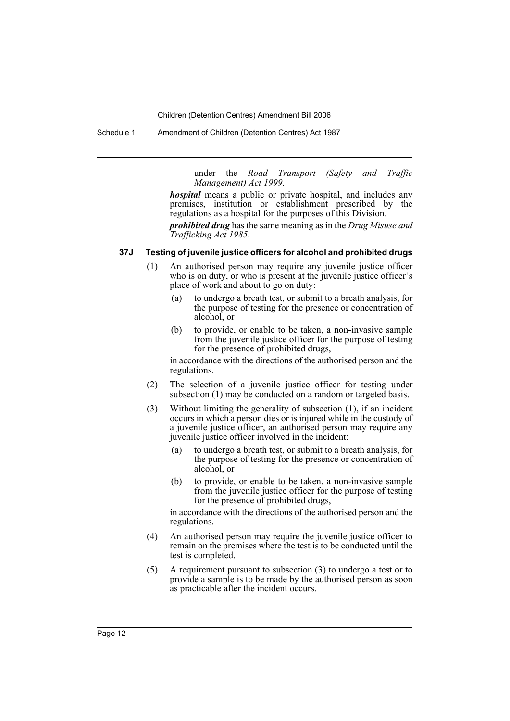Schedule 1 Amendment of Children (Detention Centres) Act 1987

under the *Road Transport (Safety and Traffic Management) Act 1999*.

*hospital* means a public or private hospital, and includes any premises, institution or establishment prescribed by the regulations as a hospital for the purposes of this Division.

*prohibited drug* has the same meaning as in the *Drug Misuse and Trafficking Act 1985*.

### **37J Testing of juvenile justice officers for alcohol and prohibited drugs**

- (1) An authorised person may require any juvenile justice officer who is on duty, or who is present at the juvenile justice officer's place of work and about to go on duty:
	- (a) to undergo a breath test, or submit to a breath analysis, for the purpose of testing for the presence or concentration of alcohol, or
	- (b) to provide, or enable to be taken, a non-invasive sample from the juvenile justice officer for the purpose of testing for the presence of prohibited drugs,

in accordance with the directions of the authorised person and the regulations.

- (2) The selection of a juvenile justice officer for testing under subsection (1) may be conducted on a random or targeted basis.
- (3) Without limiting the generality of subsection (1), if an incident occurs in which a person dies or is injured while in the custody of a juvenile justice officer, an authorised person may require any juvenile justice officer involved in the incident:
	- (a) to undergo a breath test, or submit to a breath analysis, for the purpose of testing for the presence or concentration of alcohol, or
	- (b) to provide, or enable to be taken, a non-invasive sample from the juvenile justice officer for the purpose of testing for the presence of prohibited drugs,

in accordance with the directions of the authorised person and the regulations.

- (4) An authorised person may require the juvenile justice officer to remain on the premises where the test is to be conducted until the test is completed.
- (5) A requirement pursuant to subsection (3) to undergo a test or to provide a sample is to be made by the authorised person as soon as practicable after the incident occurs.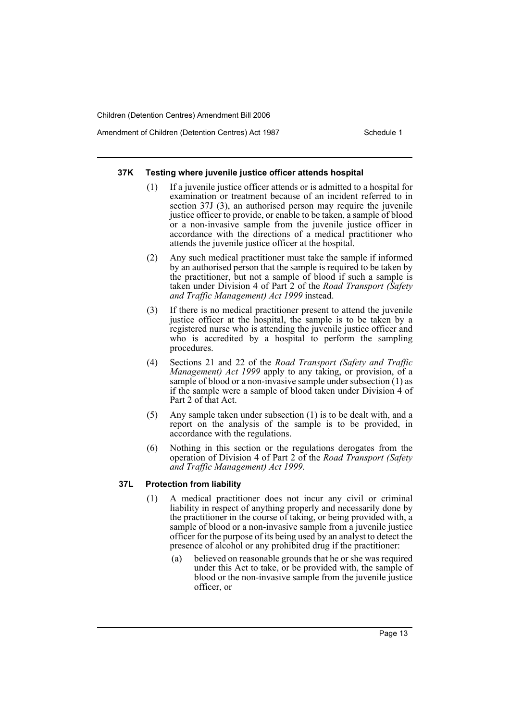Amendment of Children (Detention Centres) Act 1987 Schedule 1

#### **37K Testing where juvenile justice officer attends hospital**

- (1) If a juvenile justice officer attends or is admitted to a hospital for examination or treatment because of an incident referred to in section 37J (3), an authorised person may require the juvenile justice officer to provide, or enable to be taken, a sample of blood or a non-invasive sample from the juvenile justice officer in accordance with the directions of a medical practitioner who attends the juvenile justice officer at the hospital.
- (2) Any such medical practitioner must take the sample if informed by an authorised person that the sample is required to be taken by the practitioner, but not a sample of blood if such a sample is taken under Division 4 of Part 2 of the *Road Transport (Safety and Traffic Management) Act 1999* instead.
- (3) If there is no medical practitioner present to attend the juvenile justice officer at the hospital, the sample is to be taken by a registered nurse who is attending the juvenile justice officer and who is accredited by a hospital to perform the sampling procedures.
- (4) Sections 21 and 22 of the *Road Transport (Safety and Traffic Management) Act 1999* apply to any taking, or provision, of a sample of blood or a non-invasive sample under subsection (1) as if the sample were a sample of blood taken under Division 4 of Part 2 of that Act.
- (5) Any sample taken under subsection (1) is to be dealt with, and a report on the analysis of the sample is to be provided, in accordance with the regulations.
- (6) Nothing in this section or the regulations derogates from the operation of Division 4 of Part 2 of the *Road Transport (Safety and Traffic Management) Act 1999*.

#### **37L Protection from liability**

- (1) A medical practitioner does not incur any civil or criminal liability in respect of anything properly and necessarily done by the practitioner in the course of taking, or being provided with, a sample of blood or a non-invasive sample from a juvenile justice officer for the purpose of its being used by an analyst to detect the presence of alcohol or any prohibited drug if the practitioner:
	- (a) believed on reasonable grounds that he or she was required under this Act to take, or be provided with, the sample of blood or the non-invasive sample from the juvenile justice officer, or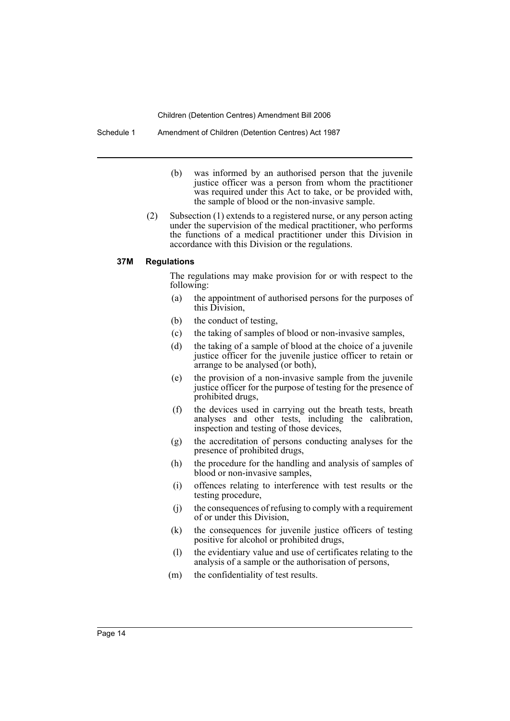- (b) was informed by an authorised person that the juvenile justice officer was a person from whom the practitioner was required under this Act to take, or be provided with, the sample of blood or the non-invasive sample.
- (2) Subsection (1) extends to a registered nurse, or any person acting under the supervision of the medical practitioner, who performs the functions of a medical practitioner under this Division in accordance with this Division or the regulations.

#### **37M Regulations**

The regulations may make provision for or with respect to the following:

- (a) the appointment of authorised persons for the purposes of this Division,
- (b) the conduct of testing,
- (c) the taking of samples of blood or non-invasive samples,
- (d) the taking of a sample of blood at the choice of a juvenile justice officer for the juvenile justice officer to retain or arrange to be analysed (or both),
- (e) the provision of a non-invasive sample from the juvenile justice officer for the purpose of testing for the presence of prohibited drugs,
- (f) the devices used in carrying out the breath tests, breath analyses and other tests, including the calibration, inspection and testing of those devices,
- (g) the accreditation of persons conducting analyses for the presence of prohibited drugs,
- (h) the procedure for the handling and analysis of samples of blood or non-invasive samples,
- (i) offences relating to interference with test results or the testing procedure,
- (j) the consequences of refusing to comply with a requirement of or under this Division,
- (k) the consequences for juvenile justice officers of testing positive for alcohol or prohibited drugs,
- (l) the evidentiary value and use of certificates relating to the analysis of a sample or the authorisation of persons,
- (m) the confidentiality of test results.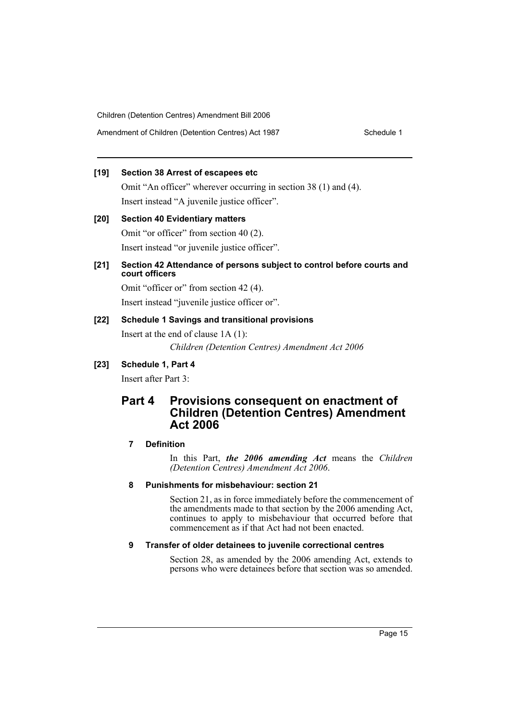# **[19] Section 38 Arrest of escapees etc**

Omit "An officer" wherever occurring in section 38 (1) and (4). Insert instead "A juvenile justice officer".

# **[20] Section 40 Evidentiary matters** Omit "or officer" from section 40 (2). Insert instead "or juvenile justice officer".

# **[21] Section 42 Attendance of persons subject to control before courts and court officers**

Omit "officer or" from section 42 (4). Insert instead "juvenile justice officer or".

# **[22] Schedule 1 Savings and transitional provisions**

Insert at the end of clause 1A (1): *Children (Detention Centres) Amendment Act 2006*

# **[23] Schedule 1, Part 4**

Insert after Part 3:

# **Part 4 Provisions consequent on enactment of Children (Detention Centres) Amendment Act 2006**

# **7 Definition**

In this Part, *the 2006 amending Act* means the *Children (Detention Centres) Amendment Act 2006*.

# **8 Punishments for misbehaviour: section 21**

Section 21, as in force immediately before the commencement of the amendments made to that section by the 2006 amending Act, continues to apply to misbehaviour that occurred before that commencement as if that Act had not been enacted.

# **9 Transfer of older detainees to juvenile correctional centres**

Section 28, as amended by the 2006 amending Act, extends to persons who were detainees before that section was so amended.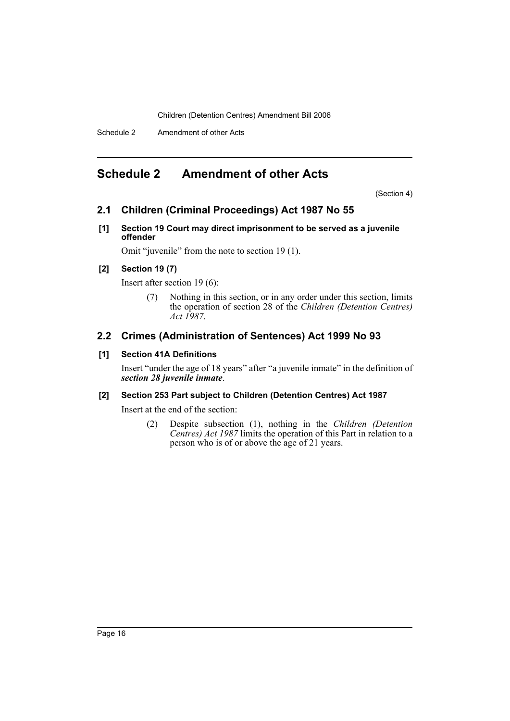Schedule 2 Amendment of other Acts

# **Schedule 2 Amendment of other Acts**

(Section 4)

# **2.1 Children (Criminal Proceedings) Act 1987 No 55**

**[1] Section 19 Court may direct imprisonment to be served as a juvenile offender**

Omit "juvenile" from the note to section 19 (1).

# **[2] Section 19 (7)**

Insert after section 19 (6):

(7) Nothing in this section, or in any order under this section, limits the operation of section 28 of the *Children (Detention Centres) Act 1987*.

# **2.2 Crimes (Administration of Sentences) Act 1999 No 93**

# **[1] Section 41A Definitions**

Insert "under the age of 18 years" after "a juvenile inmate" in the definition of *section 28 juvenile inmate*.

# **[2] Section 253 Part subject to Children (Detention Centres) Act 1987**

Insert at the end of the section:

(2) Despite subsection (1), nothing in the *Children (Detention Centres) Act 1987* limits the operation of this Part in relation to a person who is of or above the age of 21 years.